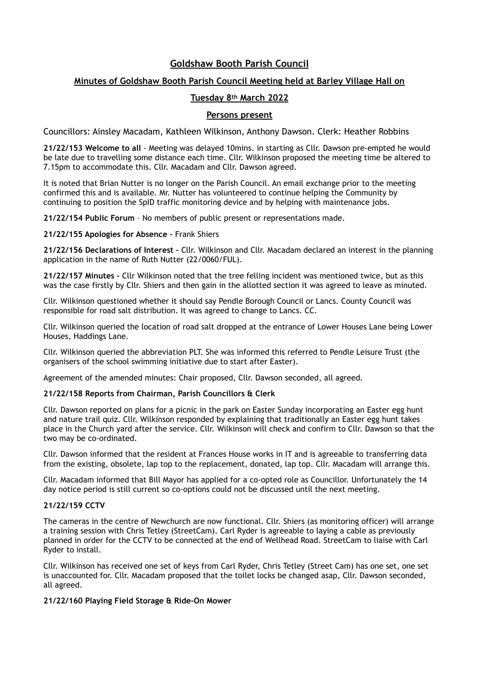# **Goldshaw Booth Parish Council**

## **Minutes of Goldshaw Booth Parish Council Meeting held at Barley Village Hall on**

### **Tuesday 8th March 2022**

### **Persons present**

Councillors: Ainsley Macadam, Kathleen Wilkinson, Anthony Dawson. Clerk: Heather Robbins

**21/22/153 Welcome to all** - Meeting was delayed 10mins. in starting as Cllr. Dawson pre-empted he would be late due to travelling some distance each time. Cllr. Wilkinson proposed the meeting time be altered to 7.15pm to accommodate this. Cllr. Macadam and Cllr. Dawson agreed.

It is noted that Brian Nutter is no longer on the Parish Council. An email exchange prior to the meeting confirmed this and is available. Mr. Nutter has volunteered to continue helping the Community by continuing to position the SpID traffic monitoring device and by helping with maintenance jobs.

**21/22/154 Public Forum** – No members of public present or representations made.

**21/22/155 Apologies for Absence –** Frank Shiers

**21/22/156 Declarations of Interest –** Cllr. Wilkinson and Cllr. Macadam declared an interest in the planning application in the name of Ruth Nutter (22/0060/FUL).

**21/22/157 Minutes –** Cllr Wilkinson noted that the tree felling incident was mentioned twice, but as this was the case firstly by Cllr. Shiers and then gain in the allotted section it was agreed to leave as minuted.

Cllr. Wilkinson questioned whether it should say Pendle Borough Council or Lancs. County Council was responsible for road salt distribution. It was agreed to change to Lancs. CC.

Cllr. Wilkinson queried the location of road salt dropped at the entrance of Lower Houses Lane being Lower Houses, Haddings Lane.

Cllr. Wilkinson queried the abbreviation PLT. She was informed this referred to Pendle Leisure Trust (the organisers of the school swimming initiative due to start after Easter).

Agreement of the amended minutes: Chair proposed, Cllr. Dawson seconded, all agreed.

### **21/22/158 Reports from Chairman, Parish Councillors & Clerk**

Cllr. Dawson reported on plans for a picnic in the park on Easter Sunday incorporating an Easter egg hunt and nature trail quiz. Cllr. Wilkinson responded by explaining that traditionally an Easter egg hunt takes place in the Church yard after the service. Cllr. Wilkinson will check and confirm to Cllr. Dawson so that the two may be co-ordinated.

Cllr. Dawson informed that the resident at Frances House works in IT and is agreeable to transferring data from the existing, obsolete, lap top to the replacement, donated, lap top. Cllr. Macadam will arrange this.

Cllr. Macadam informed that Bill Mayor has applied for a co-opted role as Councillor. Unfortunately the 14 day notice period is still current so co-options could not be discussed until the next meeting.

### **21/22/159 CCTV**

The cameras in the centre of Newchurch are now functional. Cllr. Shiers (as monitoring officer) will arrange a training session with Chris Tetley (StreetCam). Carl Ryder is agreeable to laying a cable as previously planned in order for the CCTV to be connected at the end of Wellhead Road. StreetCam to liaise with Carl Ryder to install.

Cllr. Wilkinson has received one set of keys from Carl Ryder, Chris Tetley (Street Cam) has one set, one set is unaccounted for. Cllr. Macadam proposed that the toilet locks be changed asap, Cllr. Dawson seconded, all agreed.

#### **21/22/160 Playing Field Storage & Ride-On Mower**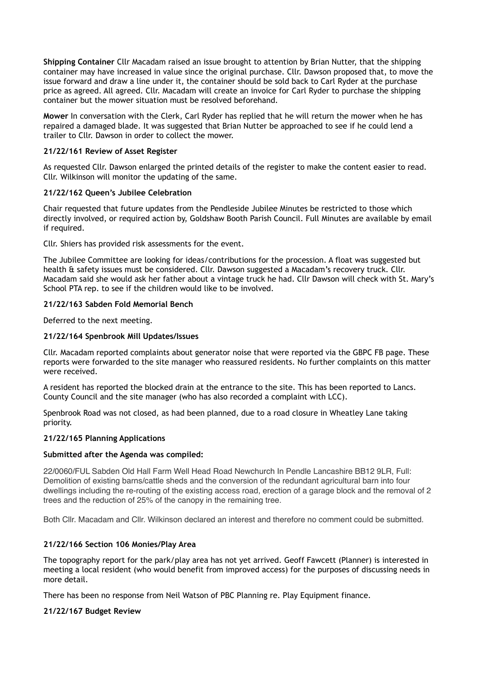**Shipping Container** Cllr Macadam raised an issue brought to attention by Brian Nutter, that the shipping container may have increased in value since the original purchase. Cllr. Dawson proposed that, to move the issue forward and draw a line under it, the container should be sold back to Carl Ryder at the purchase price as agreed. All agreed. Cllr. Macadam will create an invoice for Carl Ryder to purchase the shipping container but the mower situation must be resolved beforehand.

**Mower** In conversation with the Clerk, Carl Ryder has replied that he will return the mower when he has repaired a damaged blade. It was suggested that Brian Nutter be approached to see if he could lend a trailer to Cllr. Dawson in order to collect the mower.

### **21/22/161 Review of Asset Register**

As requested Cllr. Dawson enlarged the printed details of the register to make the content easier to read. Cllr. Wilkinson will monitor the updating of the same.

#### **21/22/162 Queen's Jubilee Celebration**

Chair requested that future updates from the Pendleside Jubilee Minutes be restricted to those which directly involved, or required action by, Goldshaw Booth Parish Council. Full Minutes are available by email if required.

Cllr. Shiers has provided risk assessments for the event.

The Jubilee Committee are looking for ideas/contributions for the procession. A float was suggested but health & safety issues must be considered. Cllr. Dawson suggested a Macadam's recovery truck. Cllr. Macadam said she would ask her father about a vintage truck he had. Cllr Dawson will check with St. Mary's School PTA rep. to see if the children would like to be involved.

### **21/22/163 Sabden Fold Memorial Bench**

Deferred to the next meeting.

### **21/22/164 Spenbrook Mill Updates/Issues**

Cllr. Macadam reported complaints about generator noise that were reported via the GBPC FB page. These reports were forwarded to the site manager who reassured residents. No further complaints on this matter were received.

A resident has reported the blocked drain at the entrance to the site. This has been reported to Lancs. County Council and the site manager (who has also recorded a complaint with LCC).

Spenbrook Road was not closed, as had been planned, due to a road closure in Wheatley Lane taking priority.

#### **21/22/165 Planning Applications**

#### **Submitted after the Agenda was compiled:**

22/0060/FUL Sabden Old Hall Farm Well Head Road Newchurch In Pendle Lancashire BB12 9LR, Full: Demolition of existing barns/cattle sheds and the conversion of the redundant agricultural barn into four dwellings including the re-routing of the existing access road, erection of a garage block and the removal of 2 trees and the reduction of 25% of the canopy in the remaining tree.

Both Cllr. Macadam and Cllr. Wilkinson declared an interest and therefore no comment could be submitted.

### **21/22/166 Section 106 Monies/Play Area**

The topography report for the park/play area has not yet arrived. Geoff Fawcett (Planner) is interested in meeting a local resident (who would benefit from improved access) for the purposes of discussing needs in more detail.

There has been no response from Neil Watson of PBC Planning re. Play Equipment finance.

#### **21/22/167 Budget Review**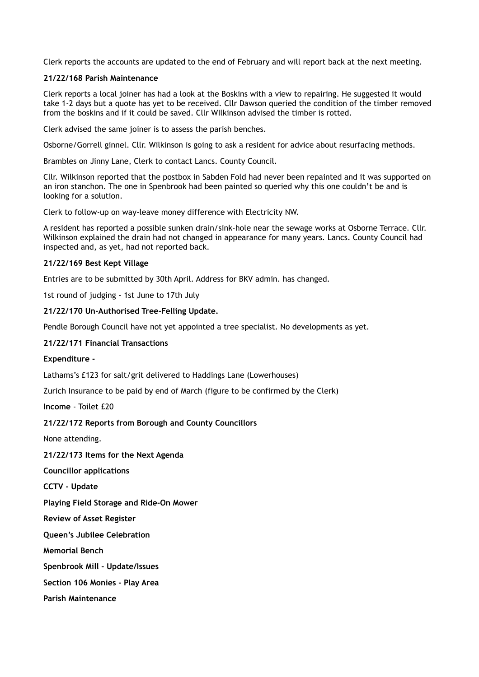Clerk reports the accounts are updated to the end of February and will report back at the next meeting.

### **21/22/168 Parish Maintenance**

Clerk reports a local joiner has had a look at the Boskins with a view to repairing. He suggested it would take 1-2 days but a quote has yet to be received. Cllr Dawson queried the condition of the timber removed from the boskins and if it could be saved. Cllr WIlkinson advised the timber is rotted.

Clerk advised the same joiner is to assess the parish benches.

Osborne/Gorrell ginnel. Cllr. Wilkinson is going to ask a resident for advice about resurfacing methods.

Brambles on Jinny Lane, Clerk to contact Lancs. County Council.

Cllr. Wilkinson reported that the postbox in Sabden Fold had never been repainted and it was supported on an iron stanchon. The one in Spenbrook had been painted so queried why this one couldn't be and is looking for a solution.

Clerk to follow-up on way-leave money difference with Electricity NW.

A resident has reported a possible sunken drain/sink-hole near the sewage works at Osborne Terrace. Cllr. Wilkinson explained the drain had not changed in appearance for many years. Lancs. County Council had inspected and, as yet, had not reported back.

#### **21/22/169 Best Kept Village**

Entries are to be submitted by 30th April. Address for BKV admin. has changed.

1st round of judging - 1st June to 17th July

#### **21/22/170 Un-Authorised Tree-Felling Update.**

Pendle Borough Council have not yet appointed a tree specialist. No developments as yet.

### **21/22/171 Financial Transactions**

**Expenditure -** 

Lathams's £123 for salt/grit delivered to Haddings Lane (Lowerhouses)

Zurich Insurance to be paid by end of March (figure to be confirmed by the Clerk)

**Income** - Toilet £20

### **21/22/172 Reports from Borough and County Councillors**

None attending.

**21/22/173 Items for the Next Agenda**

**Councillor applications**

**CCTV - Update**

**Playing Field Storage and Ride-On Mower**

**Review of Asset Register**

**Queen's Jubilee Celebration**

**Memorial Bench**

**Spenbrook Mill - Update/Issues**

**Section 106 Monies - Play Area**

**Parish Maintenance**